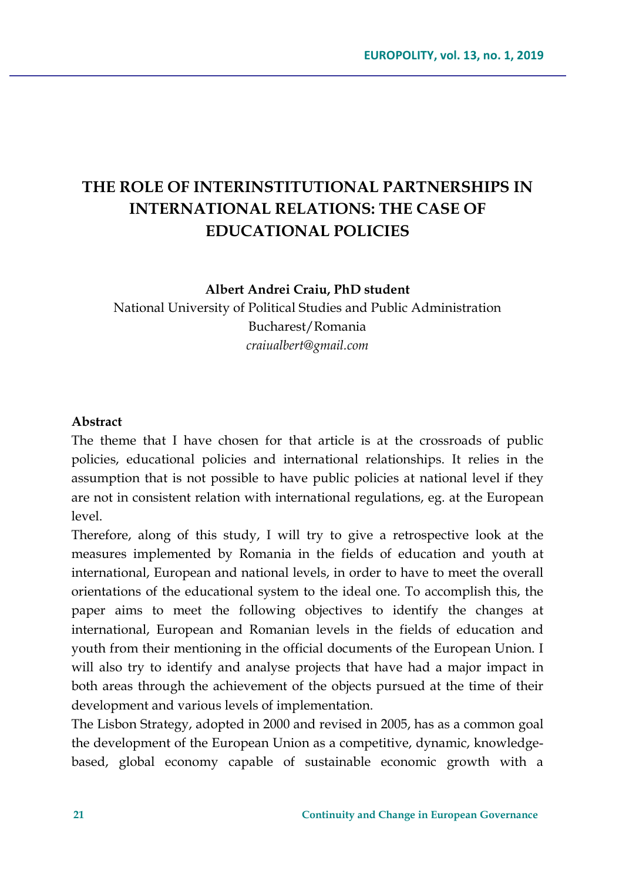# **THE ROLE OF INTERINSTITUTIONAL PARTNERSHIPS IN INTERNATIONAL RELATIONS: THE CASE OF EDUCATIONAL POLICIES**

**Albert Andrei Craiu, PhD student**

National University of Political Studies and Public Administration Bucharest/Romania *craiualbert@gmail.com*

#### **Abstract**

The theme that I have chosen for that article is at the crossroads of public policies, educational policies and international relationships. It relies in the assumption that is not possible to have public policies at national level if they are not in consistent relation with international regulations, eg. at the European level.

Therefore, along of this study, I will try to give a retrospective look at the measures implemented by Romania in the fields of education and youth at international, European and national levels, in order to have to meet the overall orientations of the educational system to the ideal one. To accomplish this, the paper aims to meet the following objectives to identify the changes at international, European and Romanian levels in the fields of education and youth from their mentioning in the official documents of the European Union. I will also try to identify and analyse projects that have had a major impact in both areas through the achievement of the objects pursued at the time of their development and various levels of implementation.

The Lisbon Strategy, adopted in 2000 and revised in 2005, has as a common goal the development of the European Union as a competitive, dynamic, knowledgebased, global economy capable of sustainable economic growth with a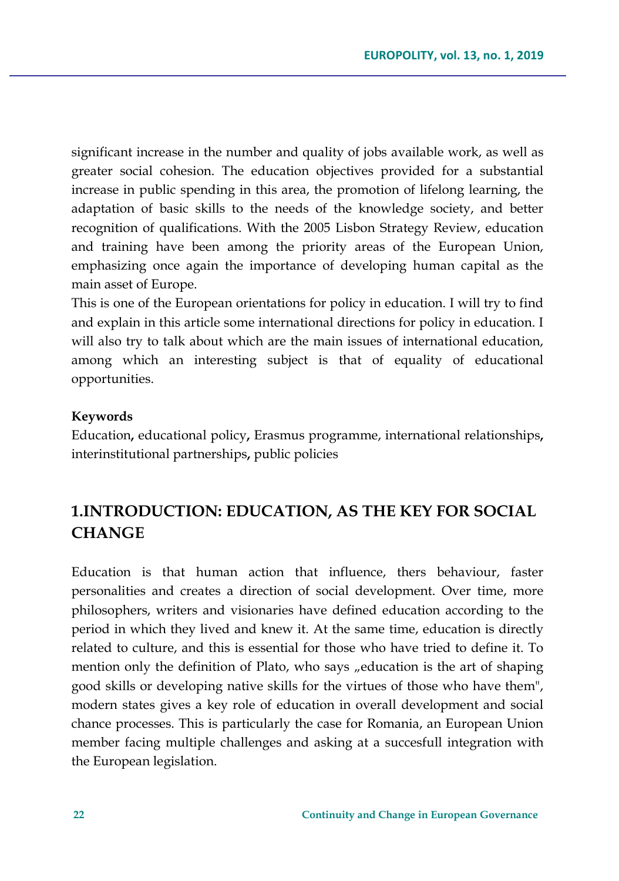significant increase in the number and quality of jobs available work, as well as greater social cohesion. The education objectives provided for a substantial increase in public spending in this area, the promotion of lifelong learning, the adaptation of basic skills to the needs of the knowledge society, and better recognition of qualifications. With the 2005 Lisbon Strategy Review, education and training have been among the priority areas of the European Union, emphasizing once again the importance of developing human capital as the main asset of Europe.

This is one of the European orientations for policy in education. I will try to find and explain in this article some international directions for policy in education. I will also try to talk about which are the main issues of international education, among which an interesting subject is that of equality of educational opportunities.

#### **Keywords**

Education**,** educational policy**,** Erasmus programme, international relationships**,**  interinstitutional partnerships**,** public policies

## **1.INTRODUCTION: EDUCATION, AS THE KEY FOR SOCIAL CHANGE**

Education is that human action that influence, thers behaviour, faster personalities and creates a direction of social development. Over time, more philosophers, writers and visionaries have defined education according to the period in which they lived and knew it. At the same time, education is directly related to culture, and this is essential for those who have tried to define it. To mention only the definition of Plato, who says "education is the art of shaping" good skills or developing native skills for the virtues of those who have them", modern states gives a key role of education in overall development and social chance processes. This is particularly the case for Romania, an European Union member facing multiple challenges and asking at a succesfull integration with the European legislation.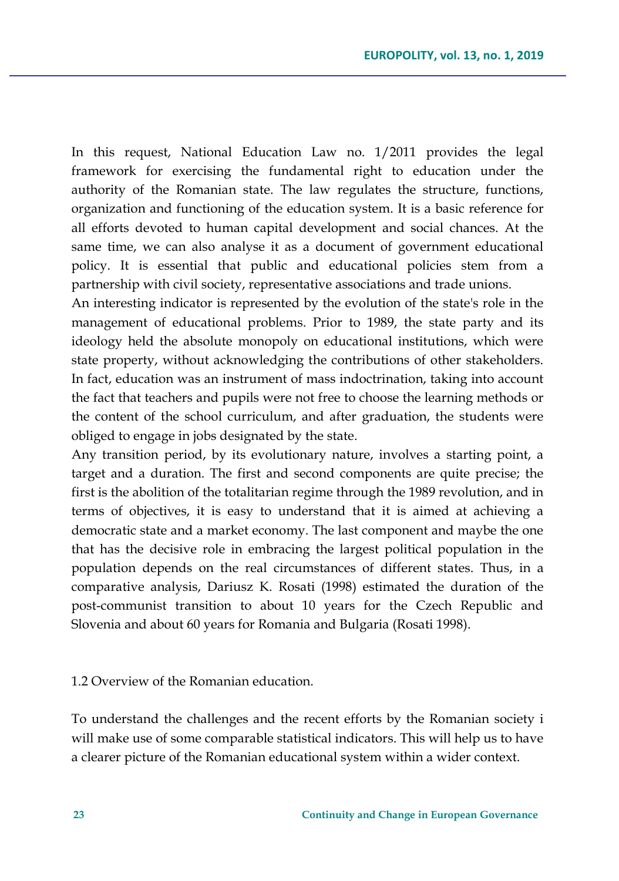In this request, National Education Law no. 1/2011 provides the legal framework for exercising the fundamental right to education under the authority of the Romanian state. The law regulates the structure, functions, organization and functioning of the education system. It is a basic reference for all efforts devoted to human capital development and social chances. At the same time, we can also analyse it as a document of government educational policy. It is essential that public and educational policies stem from a partnership with civil society, representative associations and trade unions.

An interesting indicator is represented by the evolution of the state's role in the management of educational problems. Prior to 1989, the state party and its ideology held the absolute monopoly on educational institutions, which were state property, without acknowledging the contributions of other stakeholders. In fact, education was an instrument of mass indoctrination, taking into account the fact that teachers and pupils were not free to choose the learning methods or the content of the school curriculum, and after graduation, the students were obliged to engage in jobs designated by the state.

Any transition period, by its evolutionary nature, involves a starting point, a target and a duration. The first and second components are quite precise; the first is the abolition of the totalitarian regime through the 1989 revolution, and in terms of objectives, it is easy to understand that it is aimed at achieving a democratic state and a market economy. The last component and maybe the one that has the decisive role in embracing the largest political population in the population depends on the real circumstances of different states. Thus, in a comparative analysis, Dariusz K. Rosati (1998) estimated the duration of the post-communist transition to about 10 years for the Czech Republic and Slovenia and about 60 years for Romania and Bulgaria (Rosati 1998).

#### 1.2 Overview of the Romanian education.

To understand the challenges and the recent efforts by the Romanian society i will make use of some comparable statistical indicators. This will help us to have a clearer picture of the Romanian educational system within a wider context.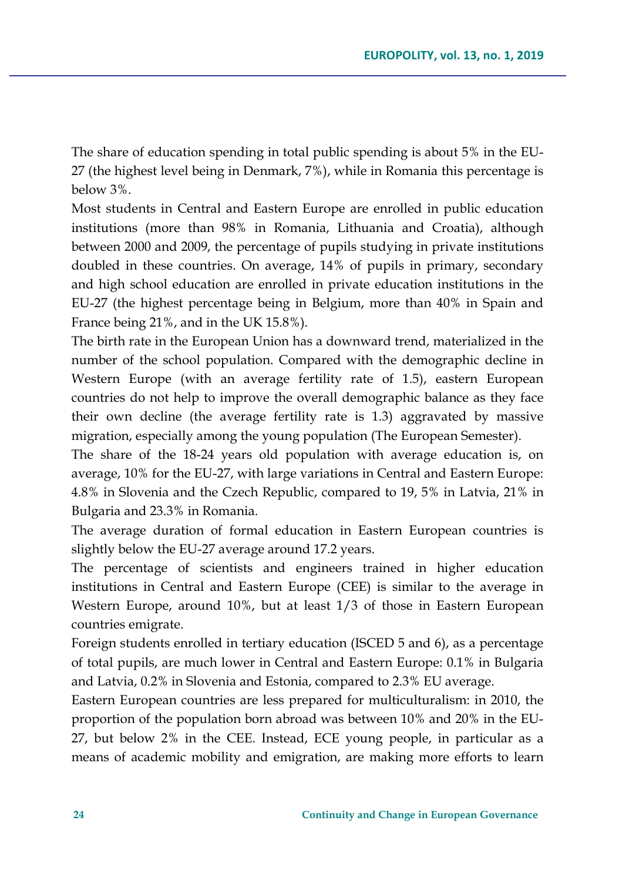The share of education spending in total public spending is about 5% in the EU-27 (the highest level being in Denmark, 7%), while in Romania this percentage is below 3%.

Most students in Central and Eastern Europe are enrolled in public education institutions (more than 98% in Romania, Lithuania and Croatia), although between 2000 and 2009, the percentage of pupils studying in private institutions doubled in these countries. On average, 14% of pupils in primary, secondary and high school education are enrolled in private education institutions in the EU-27 (the highest percentage being in Belgium, more than 40% in Spain and France being 21%, and in the UK 15.8%).

The birth rate in the European Union has a downward trend, materialized in the number of the school population. Compared with the demographic decline in Western Europe (with an average fertility rate of 1.5), eastern European countries do not help to improve the overall demographic balance as they face their own decline (the average fertility rate is 1.3) aggravated by massive migration, especially among the young population (The European Semester).

The share of the 18-24 years old population with average education is, on average, 10% for the EU-27, with large variations in Central and Eastern Europe: 4.8% in Slovenia and the Czech Republic, compared to 19, 5% in Latvia, 21% in Bulgaria and 23.3% in Romania.

The average duration of formal education in Eastern European countries is slightly below the EU-27 average around 17.2 years.

The percentage of scientists and engineers trained in higher education institutions in Central and Eastern Europe (CEE) is similar to the average in Western Europe, around 10%, but at least 1/3 of those in Eastern European countries emigrate.

Foreign students enrolled in tertiary education (ISCED 5 and 6), as a percentage of total pupils, are much lower in Central and Eastern Europe: 0.1% in Bulgaria and Latvia, 0.2% in Slovenia and Estonia, compared to 2.3% EU average.

Eastern European countries are less prepared for multiculturalism: in 2010, the proportion of the population born abroad was between 10% and 20% in the EU-27, but below 2% in the CEE. Instead, ECE young people, in particular as a means of academic mobility and emigration, are making more efforts to learn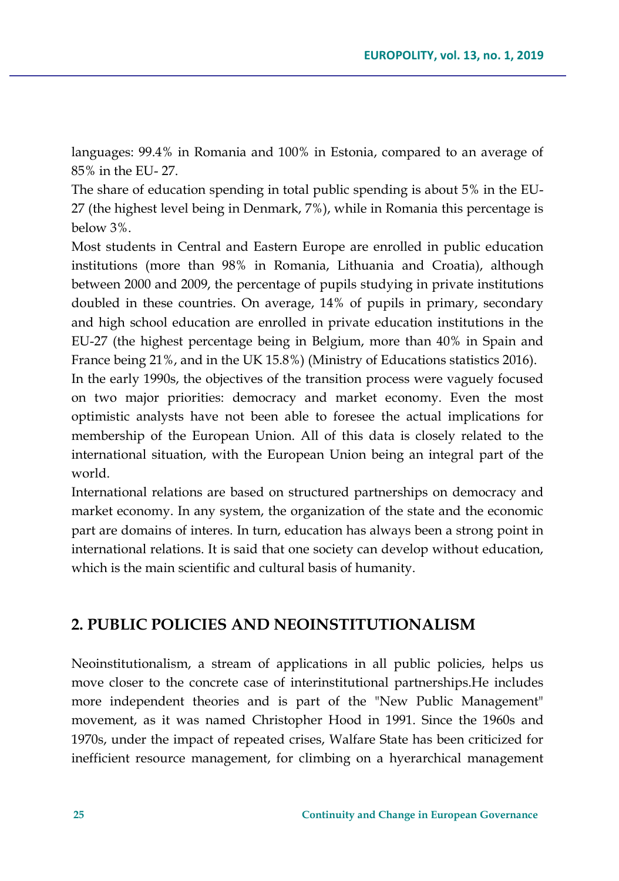languages: 99.4% in Romania and 100% in Estonia, compared to an average of 85% in the EU- 27.

The share of education spending in total public spending is about 5% in the EU-27 (the highest level being in Denmark, 7%), while in Romania this percentage is below 3%.

Most students in Central and Eastern Europe are enrolled in public education institutions (more than 98% in Romania, Lithuania and Croatia), although between 2000 and 2009, the percentage of pupils studying in private institutions doubled in these countries. On average, 14% of pupils in primary, secondary and high school education are enrolled in private education institutions in the EU-27 (the highest percentage being in Belgium, more than 40% in Spain and France being 21%, and in the UK 15.8%) (Ministry of Educations statistics 2016).

In the early 1990s, the objectives of the transition process were vaguely focused on two major priorities: democracy and market economy. Even the most optimistic analysts have not been able to foresee the actual implications for membership of the European Union. All of this data is closely related to the international situation, with the European Union being an integral part of the world.

International relations are based on structured partnerships on democracy and market economy. In any system, the organization of the state and the economic part are domains of interes. In turn, education has always been a strong point in international relations. It is said that one society can develop without education, which is the main scientific and cultural basis of humanity.

### **2. PUBLIC POLICIES AND NEOINSTITUTIONALISM**

Neoinstitutionalism, a stream of applications in all public policies, helps us move closer to the concrete case of interinstitutional partnerships.He includes more independent theories and is part of the "New Public Management" movement, as it was named Christopher Hood in 1991. Since the 1960s and 1970s, under the impact of repeated crises, Walfare State has been criticized for inefficient resource management, for climbing on a hyerarchical management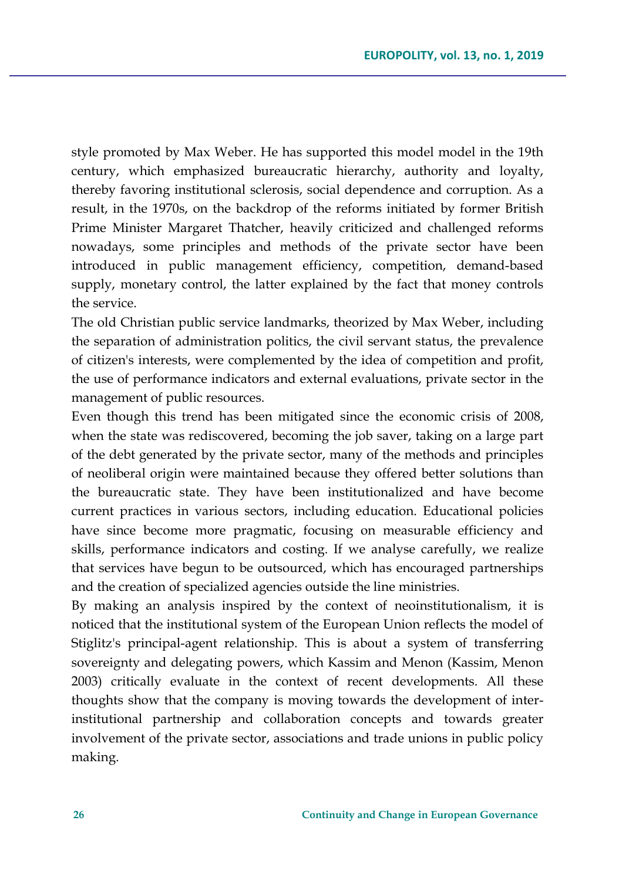style promoted by Max Weber. He has supported this model model in the 19th century, which emphasized bureaucratic hierarchy, authority and loyalty, thereby favoring institutional sclerosis, social dependence and corruption. As a result, in the 1970s, on the backdrop of the reforms initiated by former British Prime Minister Margaret Thatcher, heavily criticized and challenged reforms nowadays, some principles and methods of the private sector have been introduced in public management efficiency, competition, demand-based supply, monetary control, the latter explained by the fact that money controls the service.

The old Christian public service landmarks, theorized by Max Weber, including the separation of administration politics, the civil servant status, the prevalence of citizen's interests, were complemented by the idea of competition and profit, the use of performance indicators and external evaluations, private sector in the management of public resources.

Even though this trend has been mitigated since the economic crisis of 2008, when the state was rediscovered, becoming the job saver, taking on a large part of the debt generated by the private sector, many of the methods and principles of neoliberal origin were maintained because they offered better solutions than the bureaucratic state. They have been institutionalized and have become current practices in various sectors, including education. Educational policies have since become more pragmatic, focusing on measurable efficiency and skills, performance indicators and costing. If we analyse carefully, we realize that services have begun to be outsourced, which has encouraged partnerships and the creation of specialized agencies outside the line ministries.

By making an analysis inspired by the context of neoinstitutionalism, it is noticed that the institutional system of the European Union reflects the model of Stiglitz's principal-agent relationship. This is about a system of transferring sovereignty and delegating powers, which Kassim and Menon (Kassim, Menon 2003) critically evaluate in the context of recent developments. All these thoughts show that the company is moving towards the development of interinstitutional partnership and collaboration concepts and towards greater involvement of the private sector, associations and trade unions in public policy making.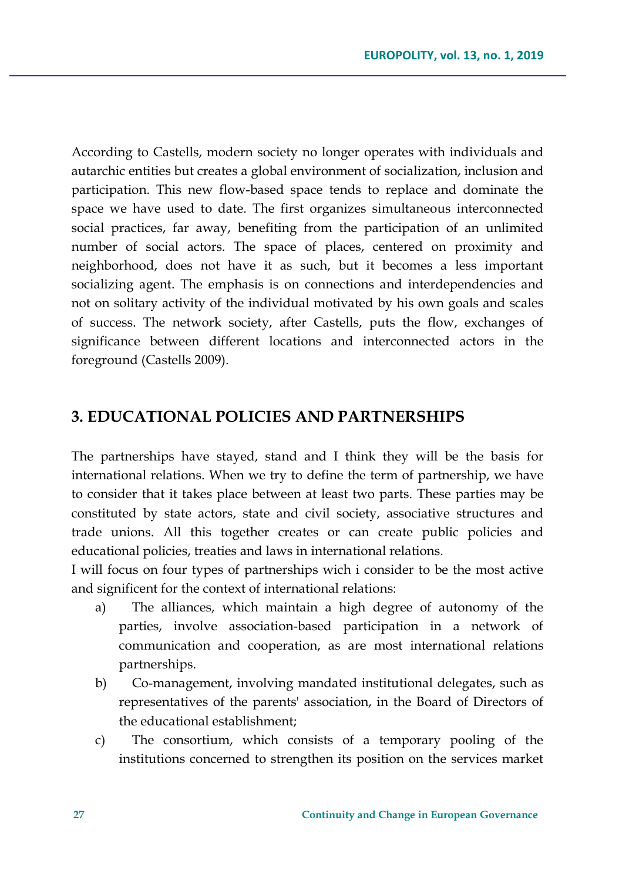According to Castells, modern society no longer operates with individuals and autarchic entities but creates a global environment of socialization, inclusion and participation. This new flow-based space tends to replace and dominate the space we have used to date. The first organizes simultaneous interconnected social practices, far away, benefiting from the participation of an unlimited number of social actors. The space of places, centered on proximity and neighborhood, does not have it as such, but it becomes a less important socializing agent. The emphasis is on connections and interdependencies and not on solitary activity of the individual motivated by his own goals and scales of success. The network society, after Castells, puts the flow, exchanges of significance between different locations and interconnected actors in the foreground (Castells 2009).

### **3. EDUCATIONAL POLICIES AND PARTNERSHIPS**

The partnerships have stayed, stand and I think they will be the basis for international relations. When we try to define the term of partnership, we have to consider that it takes place between at least two parts. These parties may be constituted by state actors, state and civil society, associative structures and trade unions. All this together creates or can create public policies and educational policies, treaties and laws in international relations.

I will focus on four types of partnerships wich i consider to be the most active and significent for the context of international relations:

- a) The alliances, which maintain a high degree of autonomy of the parties, involve association-based participation in a network of communication and cooperation, as are most international relations partnerships.
- b) Co-management, involving mandated institutional delegates, such as representatives of the parents' association, in the Board of Directors of the educational establishment;
- c) The consortium, which consists of a temporary pooling of the institutions concerned to strengthen its position on the services market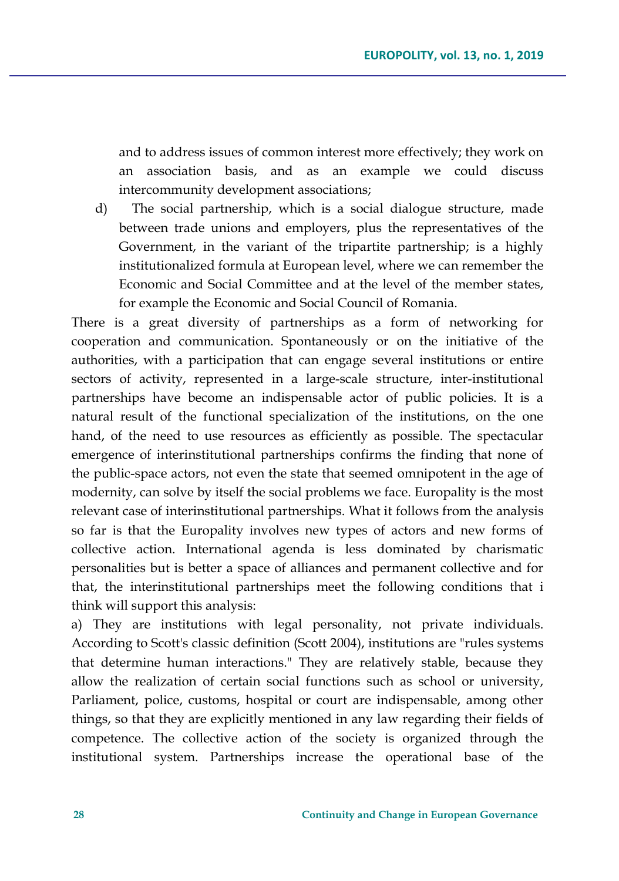and to address issues of common interest more effectively; they work on an association basis, and as an example we could discuss intercommunity development associations;

d) The social partnership, which is a social dialogue structure, made between trade unions and employers, plus the representatives of the Government, in the variant of the tripartite partnership; is a highly institutionalized formula at European level, where we can remember the Economic and Social Committee and at the level of the member states, for example the Economic and Social Council of Romania.

There is a great diversity of partnerships as a form of networking for cooperation and communication. Spontaneously or on the initiative of the authorities, with a participation that can engage several institutions or entire sectors of activity, represented in a large-scale structure, inter-institutional partnerships have become an indispensable actor of public policies. It is a natural result of the functional specialization of the institutions, on the one hand, of the need to use resources as efficiently as possible. The spectacular emergence of interinstitutional partnerships confirms the finding that none of the public-space actors, not even the state that seemed omnipotent in the age of modernity, can solve by itself the social problems we face. Europality is the most relevant case of interinstitutional partnerships. What it follows from the analysis so far is that the Europality involves new types of actors and new forms of collective action. International agenda is less dominated by charismatic personalities but is better a space of alliances and permanent collective and for that, the interinstitutional partnerships meet the following conditions that i think will support this analysis:

a) They are institutions with legal personality, not private individuals. According to Scott's classic definition (Scott 2004), institutions are "rules systems that determine human interactions." They are relatively stable, because they allow the realization of certain social functions such as school or university, Parliament, police, customs, hospital or court are indispensable, among other things, so that they are explicitly mentioned in any law regarding their fields of competence. The collective action of the society is organized through the institutional system. Partnerships increase the operational base of the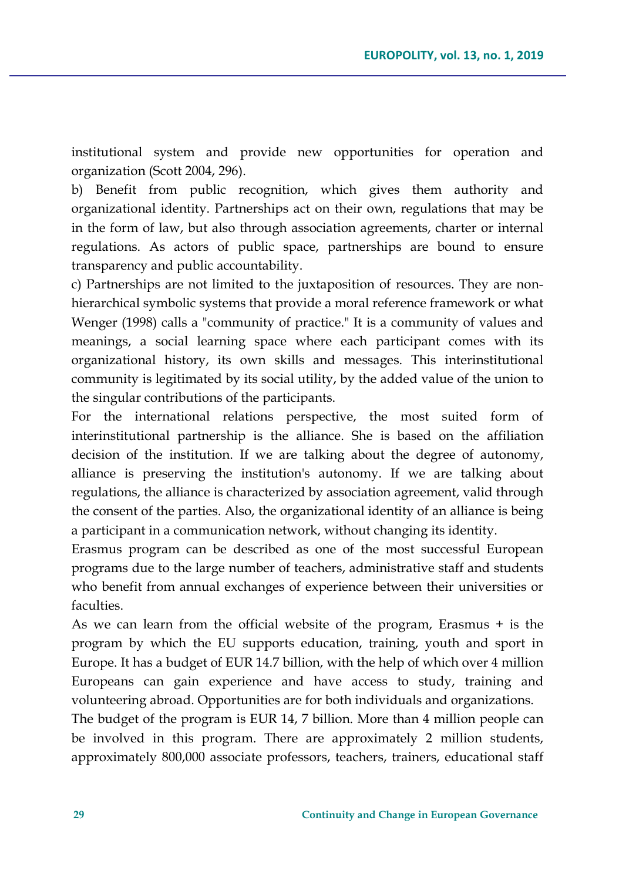institutional system and provide new opportunities for operation and organization (Scott 2004, 296).

b) Benefit from public recognition, which gives them authority and organizational identity. Partnerships act on their own, regulations that may be in the form of law, but also through association agreements, charter or internal regulations. As actors of public space, partnerships are bound to ensure transparency and public accountability.

c) Partnerships are not limited to the juxtaposition of resources. They are nonhierarchical symbolic systems that provide a moral reference framework or what Wenger (1998) calls a "community of practice." It is a community of values and meanings, a social learning space where each participant comes with its organizational history, its own skills and messages. This interinstitutional community is legitimated by its social utility, by the added value of the union to the singular contributions of the participants.

For the international relations perspective, the most suited form of interinstitutional partnership is the alliance. She is based on the affiliation decision of the institution. If we are talking about the degree of autonomy, alliance is preserving the institution's autonomy. If we are talking about regulations, the alliance is characterized by association agreement, valid through the consent of the parties. Also, the organizational identity of an alliance is being a participant in a communication network, without changing its identity.

Erasmus program can be described as one of the most successful European programs due to the large number of teachers, administrative staff and students who benefit from annual exchanges of experience between their universities or faculties.

As we can learn from the official website of the program, Erasmus + is the program by which the EU supports education, training, youth and sport in Europe. It has a budget of EUR 14.7 billion, with the help of which over 4 million Europeans can gain experience and have access to study, training and volunteering abroad. Opportunities are for both individuals and organizations.

The budget of the program is EUR 14, 7 billion. More than 4 million people can be involved in this program. There are approximately 2 million students, approximately 800,000 associate professors, teachers, trainers, educational staff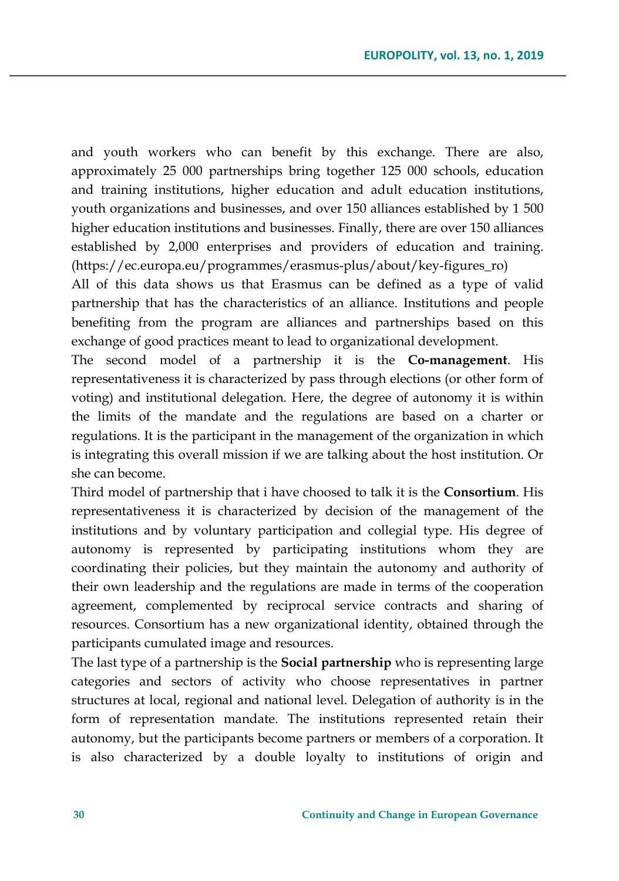and youth workers who can benefit by this exchange. There are also, approximately 25 000 partnerships bring together 125 000 schools, education and training institutions, higher education and adult education institutions, youth organizations and businesses, and over 150 alliances established by 1 500 higher education institutions and businesses. Finally, there are over 150 alliances established by 2,000 enterprises and providers of education and training. (https://ec.europa.eu/programmes/erasmus-plus/about/key-figures\_ro)

All of this data shows us that Erasmus can be defined as a type of valid partnership that has the characteristics of an alliance. Institutions and people benefiting from the program are alliances and partnerships based on this exchange of good practices meant to lead to organizational development.

The second model of a partnership it is the **Co-management**. His representativeness it is characterized by pass through elections (or other form of voting) and institutional delegation. Here, the degree of autonomy it is within the limits of the mandate and the regulations are based on a charter or regulations. It is the participant in the management of the organization in which is integrating this overall mission if we are talking about the host institution. Or she can become.

Third model of partnership that i have choosed to talk it is the **Consortium**. His representativeness it is characterized by decision of the management of the institutions and by voluntary participation and collegial type. His degree of autonomy is represented by participating institutions whom they are coordinating their policies, but they maintain the autonomy and authority of their own leadership and the regulations are made in terms of the cooperation agreement, complemented by reciprocal service contracts and sharing of resources. Consortium has a new organizational identity, obtained through the participants cumulated image and resources.

The last type of a partnership is the **Social partnership** who is representing large categories and sectors of activity who choose representatives in partner structures at local, regional and national level. Delegation of authority is in the form of representation mandate. The institutions represented retain their autonomy, but the participants become partners or members of a corporation. It is also characterized by a double loyalty to institutions of origin and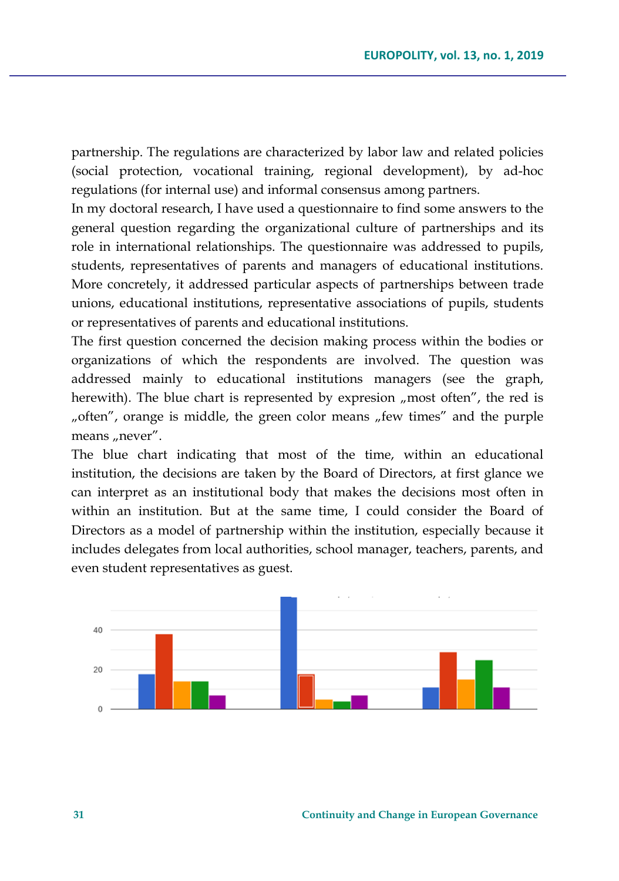partnership. The regulations are characterized by labor law and related policies (social protection, vocational training, regional development), by ad-hoc regulations (for internal use) and informal consensus among partners.

In my doctoral research, I have used a questionnaire to find some answers to the general question regarding the organizational culture of partnerships and its role in international relationships. The questionnaire was addressed to pupils, students, representatives of parents and managers of educational institutions. More concretely, it addressed particular aspects of partnerships between trade unions, educational institutions, representative associations of pupils, students or representatives of parents and educational institutions.

The first question concerned the decision making process within the bodies or organizations of which the respondents are involved. The question was addressed mainly to educational institutions managers (see the graph, herewith). The blue chart is represented by expresion "most often", the red is "often", orange is middle, the green color means "few times" and the purple means "never".

The blue chart indicating that most of the time, within an educational institution, the decisions are taken by the Board of Directors, at first glance we can interpret as an institutional body that makes the decisions most often in within an institution. But at the same time, I could consider the Board of Directors as a model of partnership within the institution, especially because it includes delegates from local authorities, school manager, teachers, parents, and even student representatives as guest.

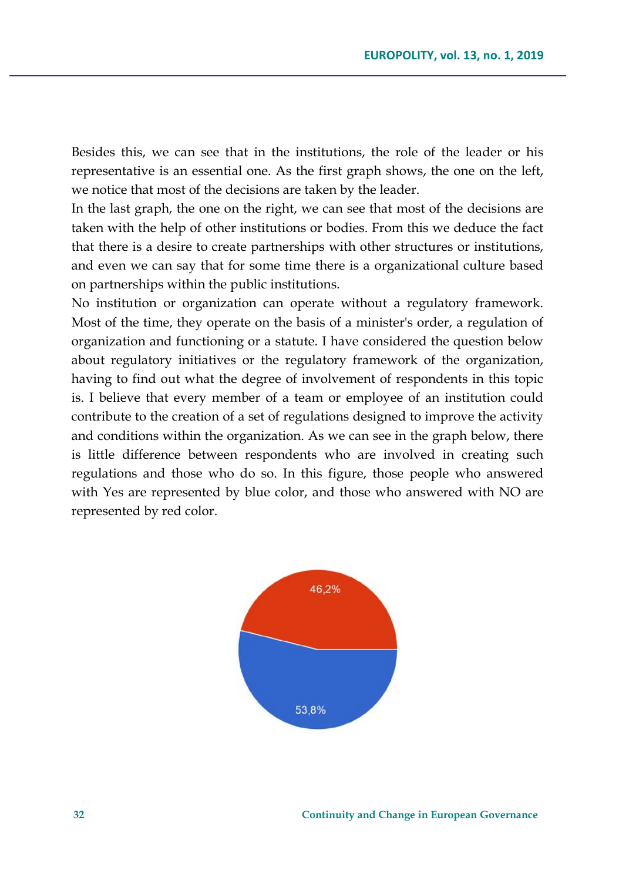Besides this, we can see that in the institutions, the role of the leader or his representative is an essential one. As the first graph shows, the one on the left, we notice that most of the decisions are taken by the leader.

In the last graph, the one on the right, we can see that most of the decisions are taken with the help of other institutions or bodies. From this we deduce the fact that there is a desire to create partnerships with other structures or institutions, and even we can say that for some time there is a organizational culture based on partnerships within the public institutions.

No institution or organization can operate without a regulatory framework. Most of the time, they operate on the basis of a minister's order, a regulation of organization and functioning or a statute. I have considered the question below about regulatory initiatives or the regulatory framework of the organization, having to find out what the degree of involvement of respondents in this topic is. I believe that every member of a team or employee of an institution could contribute to the creation of a set of regulations designed to improve the activity and conditions within the organization. As we can see in the graph below, there is little difference between respondents who are involved in creating such regulations and those who do so. In this figure, those people who answered with Yes are represented by blue color, and those who answered with NO are represented by red color.

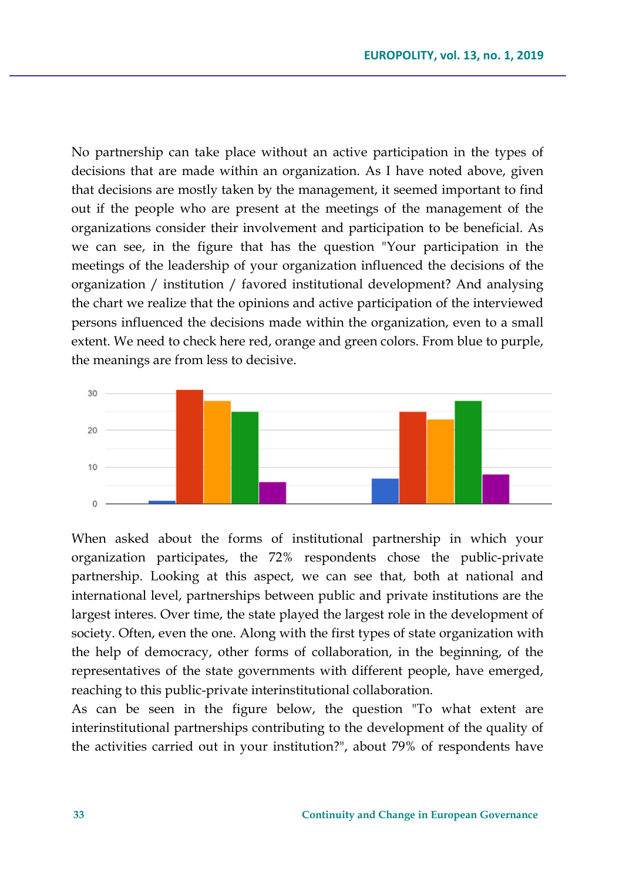No partnership can take place without an active participation in the types of decisions that are made within an organization. As I have noted above, given that decisions are mostly taken by the management, it seemed important to find out if the people who are present at the meetings of the management of the organizations consider their involvement and participation to be beneficial. As we can see, in the figure that has the question "Your participation in the meetings of the leadership of your organization influenced the decisions of the organization / institution / favored institutional development? And analysing the chart we realize that the opinions and active participation of the interviewed persons influenced the decisions made within the organization, even to a small extent. We need to check here red, orange and green colors. From blue to purple, the meanings are from less to decisive.



When asked about the forms of institutional partnership in which your organization participates, the 72% respondents chose the public-private partnership. Looking at this aspect, we can see that, both at national and international level, partnerships between public and private institutions are the largest interes. Over time, the state played the largest role in the development of society. Often, even the one. Along with the first types of state organization with the help of democracy, other forms of collaboration, in the beginning, of the representatives of the state governments with different people, have emerged, reaching to this public-private interinstitutional collaboration.

As can be seen in the figure below, the question "To what extent are interinstitutional partnerships contributing to the development of the quality of the activities carried out in your institution?", about 79% of respondents have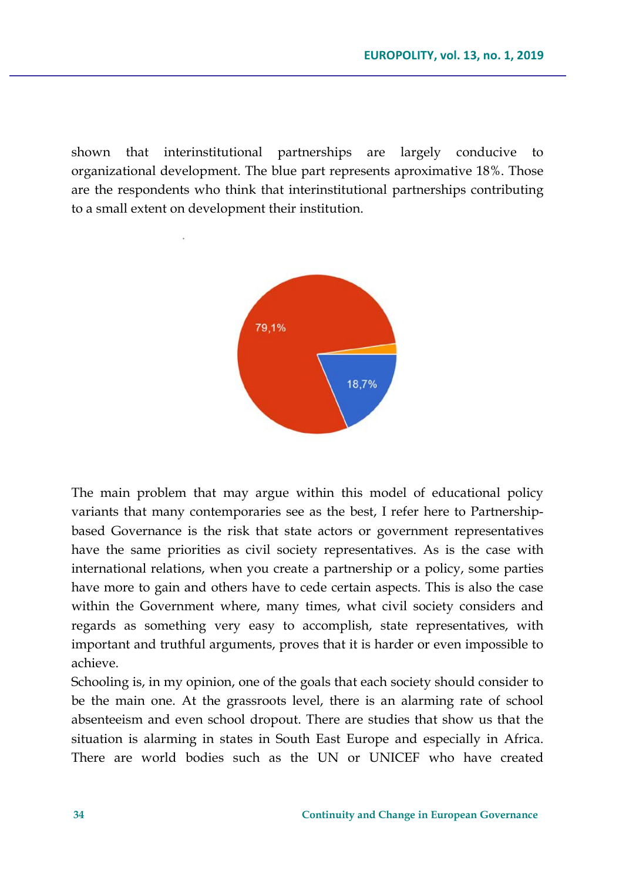shown that interinstitutional partnerships are largely conducive to organizational development. The blue part represents aproximative 18%. Those are the respondents who think that interinstitutional partnerships contributing to a small extent on development their institution.



The main problem that may argue within this model of educational policy variants that many contemporaries see as the best, I refer here to Partnershipbased Governance is the risk that state actors or government representatives have the same priorities as civil society representatives. As is the case with international relations, when you create a partnership or a policy, some parties have more to gain and others have to cede certain aspects. This is also the case within the Government where, many times, what civil society considers and regards as something very easy to accomplish, state representatives, with important and truthful arguments, proves that it is harder or even impossible to achieve.

Schooling is, in my opinion, one of the goals that each society should consider to be the main one. At the grassroots level, there is an alarming rate of school absenteeism and even school dropout. There are studies that show us that the situation is alarming in states in South East Europe and especially in Africa. There are world bodies such as the UN or UNICEF who have created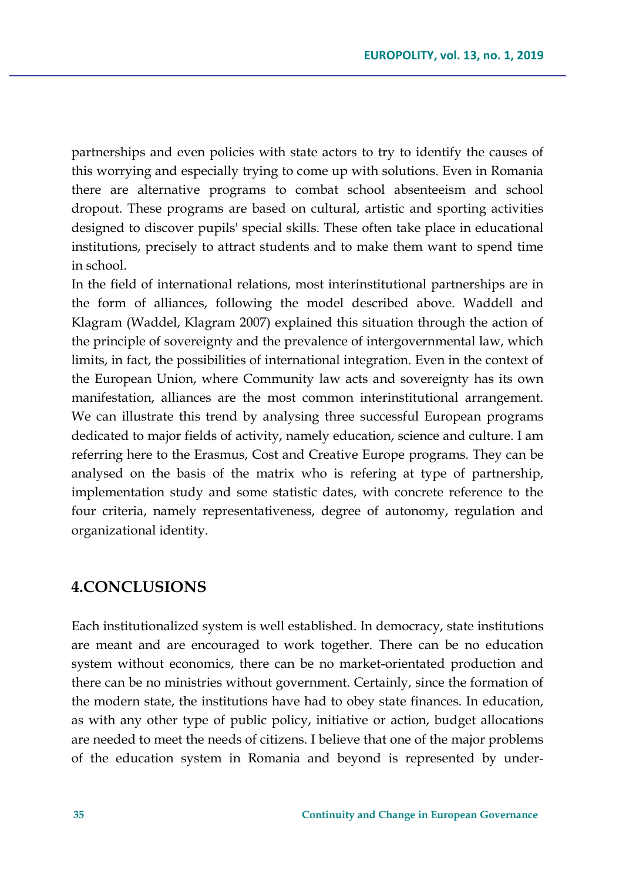partnerships and even policies with state actors to try to identify the causes of this worrying and especially trying to come up with solutions. Even in Romania there are alternative programs to combat school absenteeism and school dropout. These programs are based on cultural, artistic and sporting activities designed to discover pupils' special skills. These often take place in educational institutions, precisely to attract students and to make them want to spend time in school.

In the field of international relations, most interinstitutional partnerships are in the form of alliances, following the model described above. Waddell and Klagram (Waddel, Klagram 2007) explained this situation through the action of the principle of sovereignty and the prevalence of intergovernmental law, which limits, in fact, the possibilities of international integration. Even in the context of the European Union, where Community law acts and sovereignty has its own manifestation, alliances are the most common interinstitutional arrangement. We can illustrate this trend by analysing three successful European programs dedicated to major fields of activity, namely education, science and culture. I am referring here to the Erasmus, Cost and Creative Europe programs. They can be analysed on the basis of the matrix who is refering at type of partnership, implementation study and some statistic dates, with concrete reference to the four criteria, namely representativeness, degree of autonomy, regulation and organizational identity.

#### **4.CONCLUSIONS**

Each institutionalized system is well established. In democracy, state institutions are meant and are encouraged to work together. There can be no education system without economics, there can be no market-orientated production and there can be no ministries without government. Certainly, since the formation of the modern state, the institutions have had to obey state finances. In education, as with any other type of public policy, initiative or action, budget allocations are needed to meet the needs of citizens. I believe that one of the major problems of the education system in Romania and beyond is represented by under-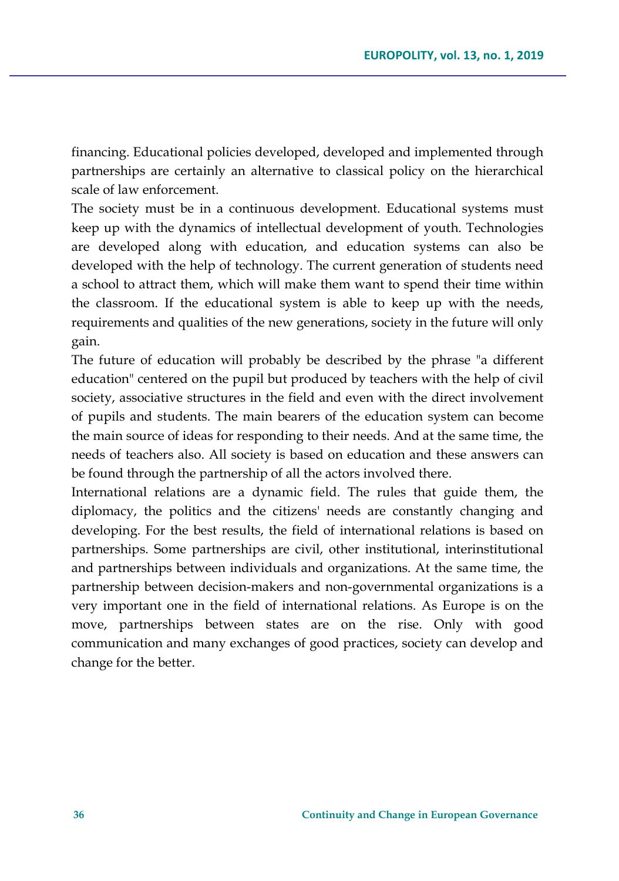financing. Educational policies developed, developed and implemented through partnerships are certainly an alternative to classical policy on the hierarchical scale of law enforcement.

The society must be in a continuous development. Educational systems must keep up with the dynamics of intellectual development of youth. Technologies are developed along with education, and education systems can also be developed with the help of technology. The current generation of students need a school to attract them, which will make them want to spend their time within the classroom. If the educational system is able to keep up with the needs, requirements and qualities of the new generations, society in the future will only gain.

The future of education will probably be described by the phrase "a different education" centered on the pupil but produced by teachers with the help of civil society, associative structures in the field and even with the direct involvement of pupils and students. The main bearers of the education system can become the main source of ideas for responding to their needs. And at the same time, the needs of teachers also. All society is based on education and these answers can be found through the partnership of all the actors involved there.

International relations are a dynamic field. The rules that guide them, the diplomacy, the politics and the citizens' needs are constantly changing and developing. For the best results, the field of international relations is based on partnerships. Some partnerships are civil, other institutional, interinstitutional and partnerships between individuals and organizations. At the same time, the partnership between decision-makers and non-governmental organizations is a very important one in the field of international relations. As Europe is on the move, partnerships between states are on the rise. Only with good communication and many exchanges of good practices, society can develop and change for the better.